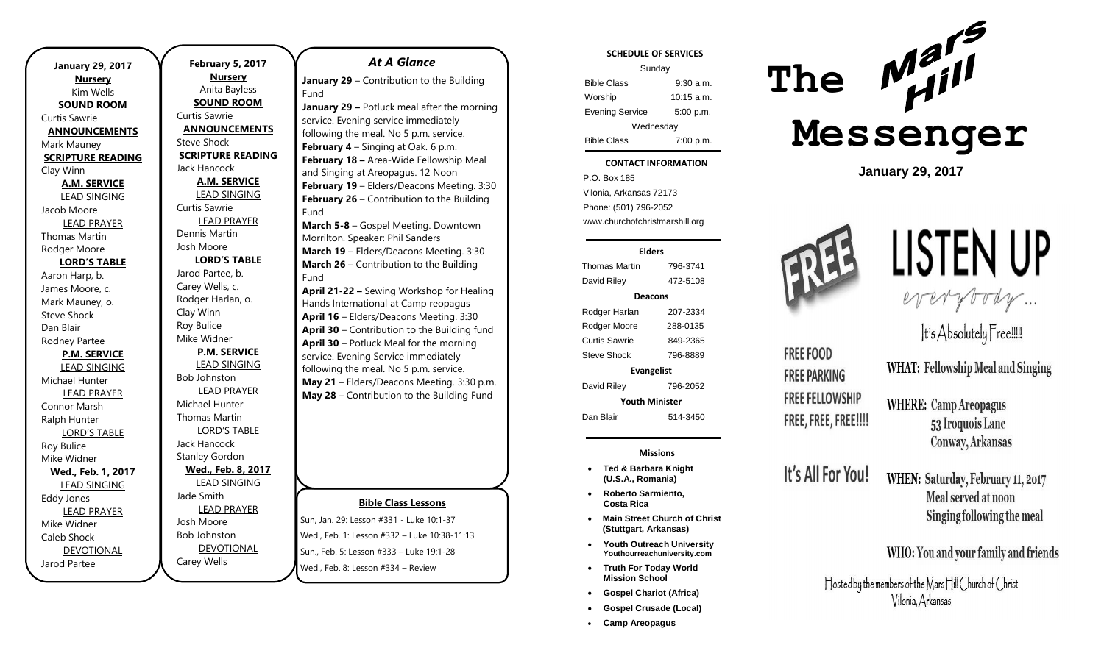| <b>January 29, 2017</b><br><b>Nursery</b> |  |  |
|-------------------------------------------|--|--|
| Kim Wells                                 |  |  |
| <b>SOUND ROOM</b>                         |  |  |
| Curtis Sawrie                             |  |  |
| <b>ANNOUNCEMENTS</b>                      |  |  |
| Mark Mauney                               |  |  |
| <b>SCRIPTURE READING</b>                  |  |  |
| Clay Winn                                 |  |  |
| <b>A.M. SERVICE</b>                       |  |  |
| <b>LEAD SINGING</b>                       |  |  |
| Jacob Moore                               |  |  |
| <b>LEAD PRAYER</b>                        |  |  |
| <b>Thomas Martin</b>                      |  |  |
| Rodger Moore                              |  |  |
| <b>LORD'S TABLE</b>                       |  |  |
| Aaron Harp, b.                            |  |  |
| James Moore, c.                           |  |  |
| Mark Mauney, o.                           |  |  |
| <b>Steve Shock</b>                        |  |  |
| Dan Blair                                 |  |  |
| Rodney Partee                             |  |  |
| <b>P.M. SERVICE</b>                       |  |  |
| <b>LEAD SINGING</b>                       |  |  |
| Michael Hunter                            |  |  |
| <b>LEAD PRAYER</b>                        |  |  |
| Connor Marsh                              |  |  |
| Ralph Hunter                              |  |  |
| <b>LORD'S TABLE</b>                       |  |  |
| Roy Bulice                                |  |  |
| Mike Widner                               |  |  |
| Wed., Feb. 1, 2017                        |  |  |
| <b>LEAD SINGING</b>                       |  |  |
| <b>Eddy Jones</b>                         |  |  |
| <b>LEAD PRAYER</b>                        |  |  |
| Mike Widner                               |  |  |
| Caleb Shock                               |  |  |
| <b>DEVOTIONAL</b>                         |  |  |
| Jarod Partee                              |  |  |

**February 5, 2017 Nursery** Anita Bayless **SOUND ROOM** Curtis Sawrie **ANNOUNCEMENTS** Steve Shock **SCRIPTURE READING** Jack Hancock **A.M. SERVICE** LEAD SINGING Curtis Sawrie LEAD PRAYER Dennis Martin Josh Moore **LORD'S TABLE** Jarod Partee, b. Carey Wells, c. Rodger Harlan, o. Clay Winn Roy Bulice Mike Widner **P.M. SERVICE** LEAD SINGING Bob Johnston LEAD PRAYER Michael Hunter Thomas Martin LORD'S TABLE Jack Hancock Stanley Gordon **Wed., Feb. 8, 2017** LEAD SINGING Jade Smith LEAD PRAYER Josh Moore Bob Johnston DEVOTIONAL

Carey Wells

# *At A Glance*

**January 29** – Contribution to the Building Fund

**January 29 –** Potluck meal after the morning service. Evening service immediately following the meal. No 5 p.m. service. **February 4** – Singing at Oak. 6 p.m. **February 18 –** Area-Wide Fellowship Meal and Singing at Areopagus. 12 Noon **February 19** – Elders/Deacons Meeting. 3:30 **February 26** – Contribution to the Building Fund

**March 5-8** – Gospel Meeting. Downtown Morrilton. Speaker: Phil Sanders **March 19** – Elders/Deacons Meeting. 3:30 **March 26** – Contribution to the Building Fund

**April 21-22 –** Sewing Workshop for Healing Hands International at Camp reopagus **April 16** – Elders/Deacons Meeting. 3:30 **April 30** – Contribution to the Building fund **April 30** – Potluck Meal for the morning service. Evening Service immediately following the meal. No 5 p.m. service. **May 21** – Elders/Deacons Meeting. 3:30 p.m. **May 28** – Contribution to the Building Fund

### **Bible Class Lessons**

Sun, Jan. 29: Lesson #331 - Luke 10:1-37 Wed., Feb. 1: Lesson #332 – Luke 10:38-11:13 Sun., Feb. 5: Lesson #333 – Luke 19:1-28 Wed., Feb. 8: Lesson #334 – Review

### **SCHEDULE OF SERVICES**

| Sunday                 |              |  |
|------------------------|--------------|--|
| <b>Bible Class</b>     | $9:30$ a.m.  |  |
| Worship                | $10:15$ a.m. |  |
| <b>Evening Service</b> | 5:00 p.m.    |  |
| Wednesday              |              |  |
| <b>Bible Class</b>     | 7:00 p.m.    |  |

#### Tuesday **CONTACT INFORMATION**

. .o. Bex 166<br>Vilonia, Arkansas 72173 P.O. Box 185 Phone: (501) 796-2052 www.churchofchristmarshill.org

### **Elders**

Thomas Martin 796-3741 David Riley 472-5108 **Deacons** Rodger Harlan 207-2334 Rodger Moore 288-0135 Curtis Sawrie 849-2365 Steve Shock 796-8889 **Evangelist** David Riley 796-2052

**Youth Minister**

Dan Blair 514-3450

### **Missions**

- **Ted & Barbara Knight (U.S.A., Romania)**
- **Roberto Sarmiento, Costa Rica**
- **Main Street Church of Christ (Stuttgart, Arkansas)**
- **Youth Outreach University Youthourreachuniversity.com**
- **Truth For Today World Mission School**
- **Gospel Chariot (Africa)**
- **Gospel Crusade (Local)**
- **Camp Areopagus**



**January 29, 2017**



**FREE FOOD** 

**FREE PARKING** 

**FREE FELLOWSHIP** 

FREE, FREE, FREE!!!!

It's All For You!

# LISTEN UP everybody ...

It's Absolutely Free!!!!

**WHAT: Fellowship Meal and Singing** 

**WHERE: Camp Areopagus** 53 Iroquois Lane Conway, Arkansas

WHEN: Saturday, February 11, 2017 Meal served at noon Singing following the meal

# WHO: You and your family and friends

Hosted by the members of the Mars Hill Church of Christ Vilonia, Arkansas